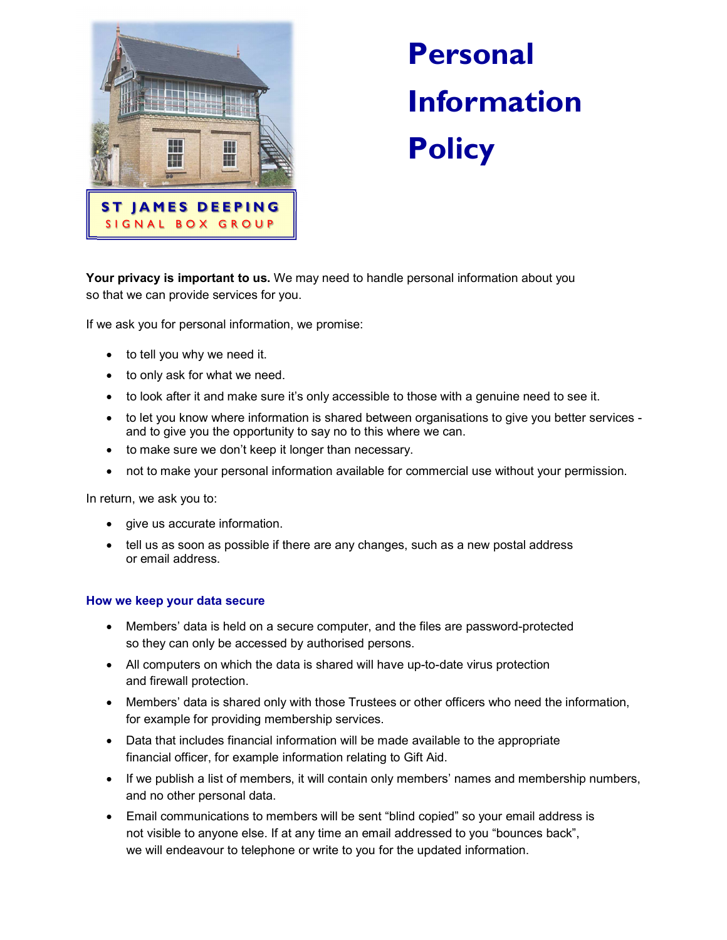

# Personal Information

Your privacy is important to us. We may need to handle personal information about you so that we can provide services for you.

If we ask you for personal information, we promise:

- to tell you why we need it.
- to only ask for what we need.
- to look after it and make sure it's only accessible to those with a genuine need to see it.
- to let you know where information is shared between organisations to give you better services and to give you the opportunity to say no to this where we can.
- to make sure we don't keep it longer than necessary.
- not to make your personal information available for commercial use without your permission.

In return, we ask you to:

- give us accurate information.
- tell us as soon as possible if there are any changes, such as a new postal address or email address.

### How we keep your data secure

- Members' data is held on a secure computer, and the files are password-protected so they can only be accessed by authorised persons.
- All computers on which the data is shared will have up-to-date virus protection and firewall protection.
- Members' data is shared only with those Trustees or other officers who need the information, for example for providing membership services.
- Data that includes financial information will be made available to the appropriate financial officer, for example information relating to Gift Aid.
- If we publish a list of members, it will contain only members' names and membership numbers, and no other personal data.
- Email communications to members will be sent "blind copied" so your email address is not visible to anyone else. If at any time an email addressed to you "bounces back", we will endeavour to telephone or write to you for the updated information.